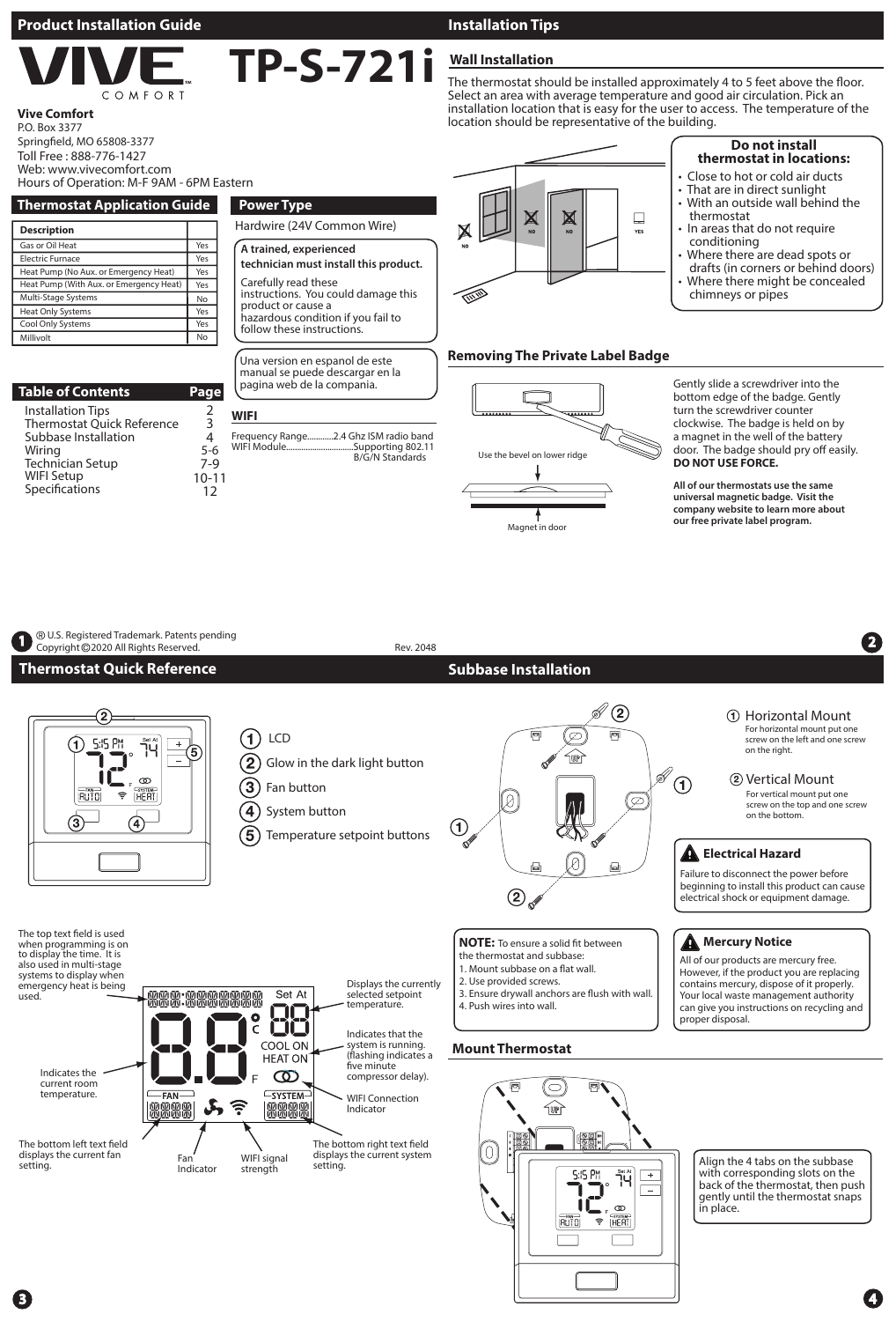#### **Product Installation Guide Installation Tips**

OMFORT

#### **Vive Comfort**

Millivolt

Toll Free : 888-776-1427 Web: www.vivecomfort.com P.O. Box 3377 Springfield, MO 65808-3377

#### **Wall Installation TP-S-721i**

The thermostat should be installed approximately 4 to 5 feet above the floor. Select an area with average temperature and good air circulation. Pick an installation location that is easy for the user to access. The temperature of the location should be representative of the building.

> $\Box$ **YES**

#### **Thermostat Application Guide Description** Gas or Oil Heat Electric Furnace Heat Pump (No Aux. or Emergency Heat) Heat Pump (With Aux. or Emergency Heat) Multi-Stage Systems Heat Only Systems Cool Only Systems Yes Yes Yes Yes No Yes Yes No **Power Type** Hardwire (24V Common Wire) Una version en espanol de este manual se puede descargar en la **A trained, experienced technician must install this product.** Carefully read these instructions. You could damage this product or cause a hazardous condition if you fail to follow these instructions. Hours of Operation: M-F 9AM - 6PM Eastern

**WIFI**

Frequency Range.<br>WIFI Module...........

| <b>Table of Contents</b>   | Page      |
|----------------------------|-----------|
| <b>Installation Tips</b>   | 2         |
| Thermostat Quick Reference | 3         |
| Subbase Installation       | 4         |
| Wiring                     | $5-6$     |
| <b>Technician Setup</b>    | $7-9$     |
| <b>WIFI Setup</b>          | $10 - 11$ |
| Specifications             | 12        |



.<br>...........Supporting 802.11<br>...........Supporting 802.11

B/G/N Standards



Gently slide a screwdriver into the bottom edge of the badge. Gently turn the screwdriver counter clockwise. The badge is held on by a magnet in the well of the battery door. The badge should pry off easily. **DO NOT USE FORCE.**

**Do not install thermostat in locations:** • Close to hot or cold air ducts • That are in direct sunlight With an outside wall behind the

In areas that do not require

Where there are dead spots or drafts (in corners or behind doors) Where there might be concealed

thermostat

conditioning<br>s Whore there a

chimneys or pipes

**All of our thermostats use the same universal magnetic badge. Visit the company website to learn more about our free private label program.**





4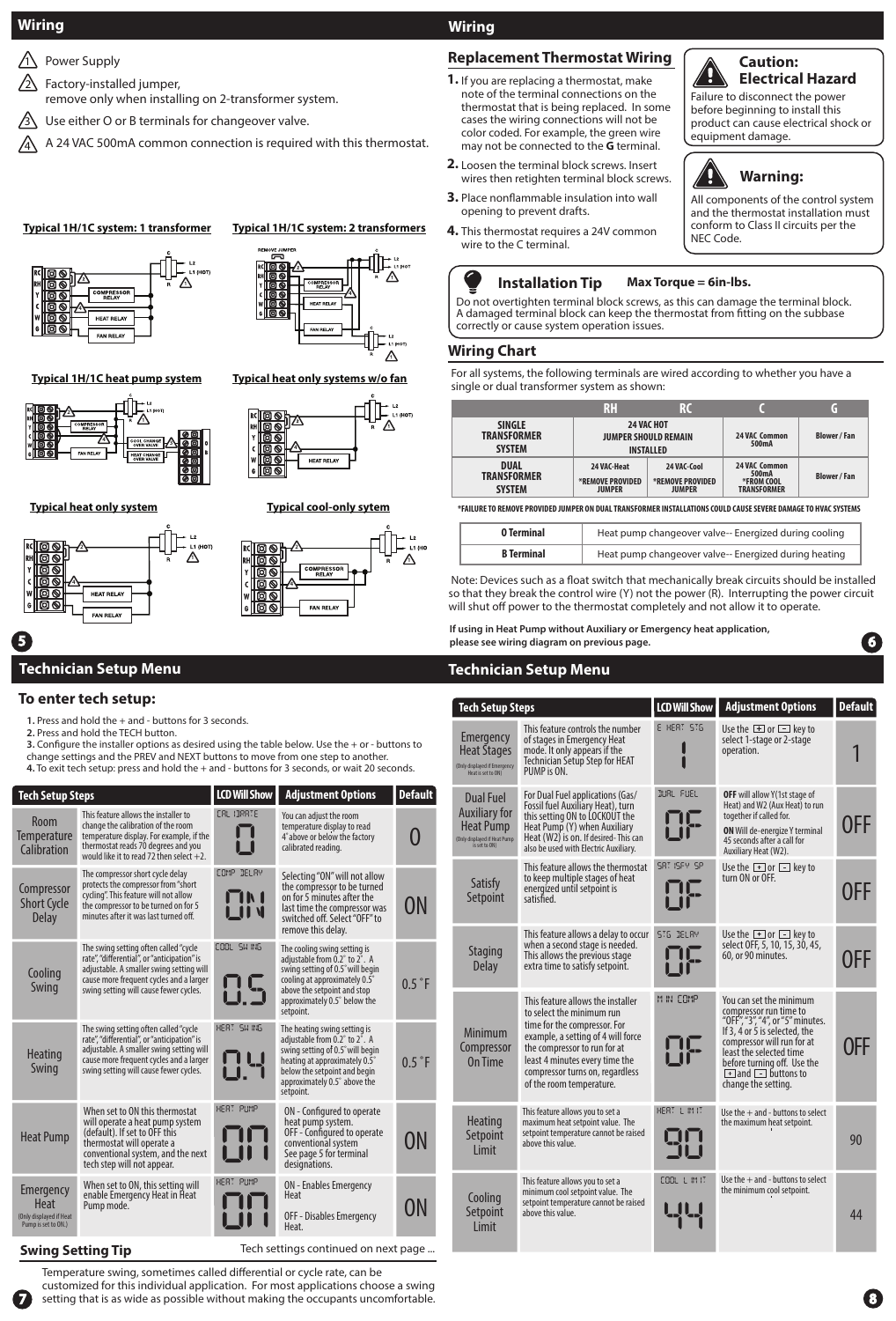#### **Wiring**

- $\sqrt{1}$  Power Supply
- <u>ีว</u> Factory-installed jumper,
- remove only when installing on 2-transformer system.
- $\overline{3}$ Use either O or B terminals for changeover valve.
- $\hat{A}$  A 24 VAC 500mA common connection is required with this thermostat.

#### **Typical 1H/1C system: 1 transformer Typical 1H/1C system: 2 transformers**



**4** ⚠

Δ

**Typical 1H/1C heat pump system**









**Typical heat only systems w/o fan**

₥



### 5 **Technician Setup Menu**

#### **To enter tech setup:**

- **1.** Press and hold the + and buttons for 3 seconds.
- **2.** Press and hold the TECH button.
- **3.** Configure the installer options as desired using the table below. Use the + or buttons to change settings and the PREV and NEXT buttons to move from one step to another. **4.** To exit tech setup: press and hold the + and - buttons for 3 seconds, or wait 20 seconds.

| <b>Tech Setup Steps</b>                                                    |                                                                                                                                                                                                                       | <b>LCD Will Show</b>      | <b>Adjustment Options</b>                                                                                                                                                                                       | <b>Default</b> |
|----------------------------------------------------------------------------|-----------------------------------------------------------------------------------------------------------------------------------------------------------------------------------------------------------------------|---------------------------|-----------------------------------------------------------------------------------------------------------------------------------------------------------------------------------------------------------------|----------------|
| Room<br><b>Temperature</b><br>Calibration                                  | This feature allows the installer to<br>change the calibration of the room<br>temperature display. For example, if the<br>thermostat reads 70 degrees and you<br>would like it to read 72 then select $+2$ .          | ERL IBRRTE                | You can adjust the room<br>temperature display to read<br>4° above or below the factory<br>calibrated reading.                                                                                                  |                |
| Compressor<br><b>Short Cycle</b><br><b>Delay</b>                           | The compressor short cycle delay<br>protects the compressor from "short<br>cycling". This feature will not allow<br>the compressor to be turned on for 5<br>minutes after it was last turned off.                     | COMP DELAY                | Selecting "ON" will not allow<br>the compressor to be turned<br>on for 5 minutes after the<br>last time the compressor was<br>switched off. Select "OFF" to<br>remove this delay.                               | ON             |
| Cooling<br>Swing                                                           | The swing setting often called "cycle<br>rate", "differential", or "anticipation" is<br>adjustable. A smaller swing setting will<br>cause more frequent cycles and a larger<br>swing setting will cause fewer cycles. | COOL SN ING<br>US         | The cooling swing setting is<br>adjustable from 0.2° to 2°. A<br>swing setting of 0.5° will begin<br>cooling at approximately 0.5°<br>above the setpoint and stop<br>approximately 0.5° below the<br>setpoint.  | 0.5 °F         |
| <b>Heating</b><br>Swing                                                    | The swing setting often called "cycle<br>rate", "differential", or "anticipation" is<br>adjustable. A smaller swing setting will<br>cause more frequent cycles and a larger<br>swing setting will cause fewer cycles. | HERT SHING<br>1 L.J<br>1. | The heating swing setting is<br>adjustable from 0.2° to 2°. A<br>swing setting of 0.5° will begin<br>heating at approximately 0.5°<br>below the setpoint and begin<br>approximately 0.5° above the<br>setpoint. | 0.5 °F         |
| <b>Heat Pump</b>                                                           | When set to ON this thermostat<br>will operate a heat pump system<br>(default). If set to OFF this<br>thermostat will operate a<br>conventional system, and the next<br>tech step will not appear.                    | HERT PHMP                 | ON - Configured to operate<br>heat pump system.<br>OFF - Configured to operate<br>conventional system<br>See page 5 for terminal<br>designations.                                                               | ON             |
| Emergency<br><b>Heat</b><br>(Only displayed if Heat<br>Pump is set to ON.) | When set to ON, this setting will<br>enable Emergency Heat in Heat<br>Pump mode.                                                                                                                                      | HERT PUMP                 | <b>ON</b> - Enables Emergency<br>Heat<br>OFF - Disables Emergency<br>Heat.                                                                                                                                      | ON             |

#### **Swing Setting Tip**

7

Temperature swing, sometimes called differential or cycle rate, can be Tech settings continued on next page ...

customized for this individual application. For most applications choose a swing setting that is as wide as possible without making the occupants uncomfortable.

#### **Wiring**

#### **Replacement Thermostat Wiring**

- **1.** If you are replacing a thermostat, make note of the terminal connections on the thermostat that is being replaced. In some cases the wiring connections will not be color coded. For example, the green wire may not be connected to the **G** terminal.
- Loosen the terminal block screws. Insert **2.** wires then retighten terminal block screws.
- Place nonflammable insulation into wall **3.** opening to prevent drafts.
- This thermostat requires a 24V common **4.** wire to the C terminal.

#### **Installation Tip Max Torque = 6in-lbs.**

Do not overtighten terminal block screws, as this can damage the terminal block. A damaged terminal block can keep the thermostat from fitting on the subbase correctly or cause system operation issues.

#### **Wiring Chart**

For all systems, the following terminals are wired according to whether you have a single or dual transformer system as shown:

|                                                      | RH                                                                   |                                                  |                                                                   |                   |
|------------------------------------------------------|----------------------------------------------------------------------|--------------------------------------------------|-------------------------------------------------------------------|-------------------|
| <b>SINGLE</b><br><b>TRANSFORMER</b><br><b>SYSTEM</b> | <b>24 VAC HOT</b><br><b>JUMPER SHOULD REMAIN</b><br><b>INSTALLED</b> |                                                  | <b>24 VAC Common</b><br>500mA                                     | <b>Blower/Fan</b> |
| <b>DUAL</b><br><b>TRANSFORMER</b><br><b>SYSTEM</b>   | 24 VAC-Heat<br>*REMOVE PROVIDED<br><b>JUMPER</b>                     | 24 VAC-Cool<br>*REMOVE PROVIDED<br><b>JUMPER</b> | <b>24 VAC Common</b><br>500mA<br>*FROM COOL<br><b>TRANSFORMER</b> | <b>Blower/Fan</b> |

**\*FAILURE TO REMOVE PROVIDED JUMPER ON DUAL TRANSFORMER INSTALLATIONS COULD CAUSE SEVERE DAMAGE TO HVAC SYSTEMS**

| 0 Terminal        | Heat pump changeover valve-- Energized during cooling |
|-------------------|-------------------------------------------------------|
| <b>B</b> Terminal | Heat pump changeover valve-- Energized during heating |

 Note: Devices such as a float switch that mechanically break circuits should be installed so that they break the control wire (Y) not the power (R). Interrupting the power circuit will shut off power to the thermostat completely and not allow it to operate.

**If using in Heat Pump without Auxiliary or Emergency heat application, please see wiring diagram on previous page.**

#### **Technician Setup Menu**

| <b>Tech Setup Steps</b>                                                                                       |                                                                                                                                                                                                                                                                       | <b>LCD Will Show</b>     | <b>Adjustment Options</b>                                                                                                                                                                                                                                             | <b>Default</b> |
|---------------------------------------------------------------------------------------------------------------|-----------------------------------------------------------------------------------------------------------------------------------------------------------------------------------------------------------------------------------------------------------------------|--------------------------|-----------------------------------------------------------------------------------------------------------------------------------------------------------------------------------------------------------------------------------------------------------------------|----------------|
| <b>Emergency</b><br><b>Heat Stages</b><br>(Only displayed if Emergency<br>Heat is set to ON)                  | This feature controls the number<br>of stages in Emergency Heat<br>mode. It only appears if the<br><b>Technician Setup Step for HEAT</b><br>PUMP is ON.                                                                                                               | E HERT 5TG               | Use the $\Box$ or $\Box$ key to<br>select 1-stage or 2-stage<br>operation.                                                                                                                                                                                            |                |
| <b>Dual Fuel</b><br><b>Auxiliary for</b><br><b>Heat Pump</b><br>(Only displayed if Heat Pump<br>is set to ON) | For Dual Fuel applications (Gas/<br>Fossil fuel Auxiliary Heat), turn<br>this setting ON to LOCKOUT the<br>Heat Pump (Y) when Auxiliary<br>Heat (W2) is on. If desired-This can<br>also be used with Electric Auxiliary.                                              | JURL FUEL                | OFF will allow Y(1st stage of<br>Heat) and W2 (Aux Heat) to run<br>together if called for.<br><b>ON</b> Will de-energize Y terminal<br>45 seconds after a call for<br>Auxiliary Heat (W2).                                                                            | 0FF            |
| Satisfy<br>Setpoint                                                                                           | This feature allows the thermostat<br>to keep multiple stages of heat<br>energized until setpoint is<br>satisfied.                                                                                                                                                    | SRT ISFY SP              | Use the $\Box$ or $\Box$ key to<br>turn ON or OFF.                                                                                                                                                                                                                    | 0FF            |
| <b>Staging</b><br><b>Delay</b>                                                                                | This feature allows a delay to occur<br>when a second stage is needed.<br>This allows the previous stage<br>extra time to satisfy setpoint.                                                                                                                           | 575 DELAY                | Use the $\Box$ or $\Box$ key to<br>select OFF, 5, 10, 15, 30, 45,<br>60, or 90 minutes.                                                                                                                                                                               | 0FF            |
| Minimum<br>Compressor<br>On Time                                                                              | This feature allows the installer<br>to select the minimum run<br>time for the compressor. For<br>example, a setting of 4 will force<br>the compressor to run for at<br>least 4 minutes every time the<br>compressor turns on, regardless<br>of the room temperature. | M IN COMP                | You can set the minimum<br>compressor run time to<br>"OFF", "3", "4", or "5" minutes.<br>If 3, 4 or 5 is selected, the<br>compressor will run for at<br>least the selected time<br>before turning off. Use the<br>$\Box$ and $\Box$ buttons to<br>change the setting. | OFF            |
| <b>Heating</b><br>Setpoint<br>Limit                                                                           | This feature allows you to set a<br>maximum heat setpoint value. The<br>setpoint temperature cannot be raised<br>above this value.                                                                                                                                    | HERT L IM IT<br>90<br>90 | Use the $+$ and - buttons to select<br>the maximum heat setpoint.                                                                                                                                                                                                     | 90             |
| Cooling<br>Setpoint<br>Limit                                                                                  | This feature allows you to set a<br>minimum cool setpoint value. The<br>setpoint temperature cannot be raised<br>above this value.                                                                                                                                    | COOL LIMIT               | Use the $+$ and - buttons to select<br>the minimum cool setpoint.                                                                                                                                                                                                     | 44             |



#### **Caution: Electrical Hazard**

Failure to disconnect the power before beginning to install this product can cause electrical shock or equipment damage.



All components of the control system and the thermostat installation must conform to Class II circuits per the NEC Code.

8

6